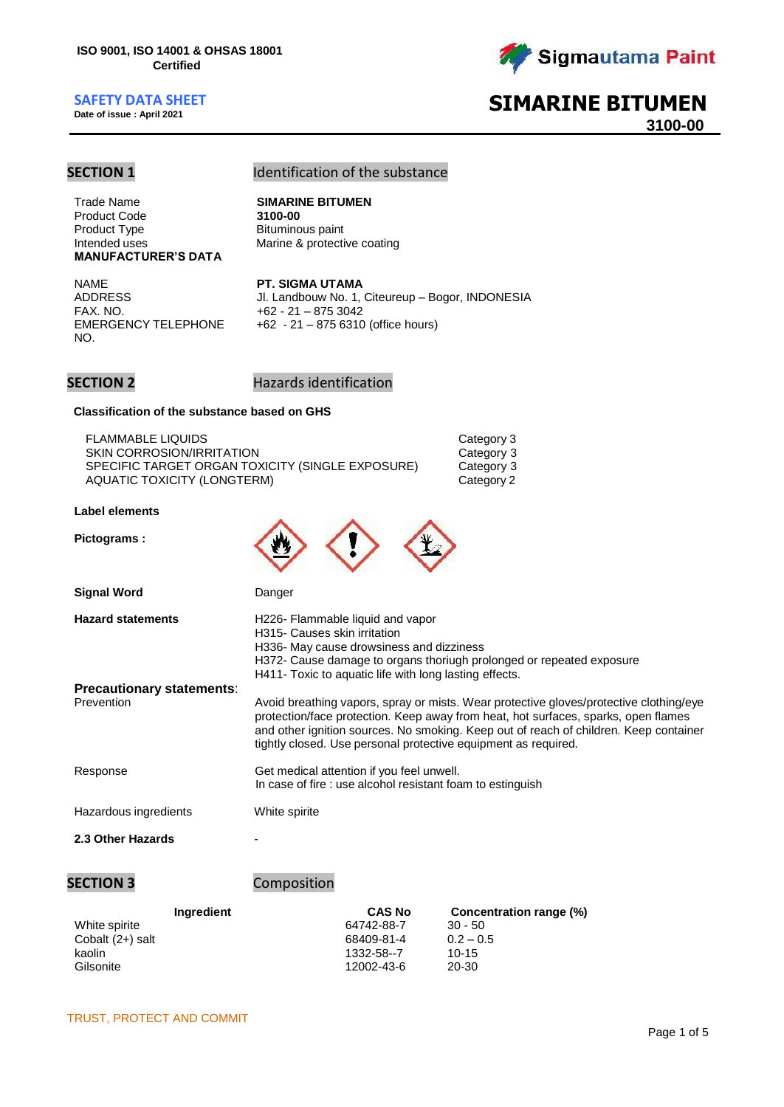**Date of issue : April 2021**



# **SIMARINE BITUMEN**

**3100-00**

# **SECTION 1** Identification of the substance

Trade Name **SIMARINE BITUMEN Product Code** Product Type Intended uses **MANUFACTURER'S DATA**

Bituminous paint Marine & protective coating

NAME **PT. SIGMA UTAMA** EMERGENCY TELEPHONE NO.

ADDRESS Jl. Landbouw No. 1, Citeureup – Bogor, INDONESIA<br>FAX. NO. +62 - 21 – 875 3042  $+62 - 21 - 8753042$ +62 - 21 – 875 6310 (office hours)

> Category 3 Category 3 Category 3 Category 2

## **SECTION 2** Hazards identification

### **Classification of the substance based on GHS**

| <b>FLAMMABLE LIQUIDS</b>                         |
|--------------------------------------------------|
| SKIN CORROSION/IRRITATION                        |
| SPECIFIC TARGET ORGAN TOXICITY (SINGLE EXPOSURE) |
| AQUATIC TOXICITY (LONGTERM)                      |

## **Label elements**

**Pictograms :**



| <b>Hazard statements</b>         | H226- Flammable liquid and vapor                                                                                                                                                                                                                                                                                                        |
|----------------------------------|-----------------------------------------------------------------------------------------------------------------------------------------------------------------------------------------------------------------------------------------------------------------------------------------------------------------------------------------|
|                                  | H315- Causes skin irritation                                                                                                                                                                                                                                                                                                            |
|                                  | H336- May cause drowsiness and dizziness                                                                                                                                                                                                                                                                                                |
|                                  | H372- Cause damage to organs thoriugh prolonged or repeated exposure                                                                                                                                                                                                                                                                    |
|                                  | H411- Toxic to aquatic life with long lasting effects.                                                                                                                                                                                                                                                                                  |
| <b>Precautionary statements:</b> |                                                                                                                                                                                                                                                                                                                                         |
| Prevention                       | Avoid breathing vapors, spray or mists. Wear protective gloves/protective clothing/eye<br>protection/face protection. Keep away from heat, hot surfaces, sparks, open flames<br>and other ignition sources. No smoking. Keep out of reach of children. Keep container<br>tightly closed. Use personal protective equipment as required. |
| Response                         | Get medical attention if you feel unwell.<br>In case of fire : use alcohol resistant foam to estinguish                                                                                                                                                                                                                                 |

Hazardous ingredients White spirite

### **2.3 Other Hazards** -

## **SECTION 3** Composition

| <b>Ingredient</b> | <b>CAS No</b> | Concentration range (%) |  |  |
|-------------------|---------------|-------------------------|--|--|
| White spirite     | 64742-88-7    | $30 - 50$               |  |  |
| Cobalt (2+) salt  | 68409-81-4    | $0.2 - 0.5$             |  |  |
| kaolin            | 1332-58--7    | $10-15$                 |  |  |
| Gilsonite         | 12002-43-6    | 20-30                   |  |  |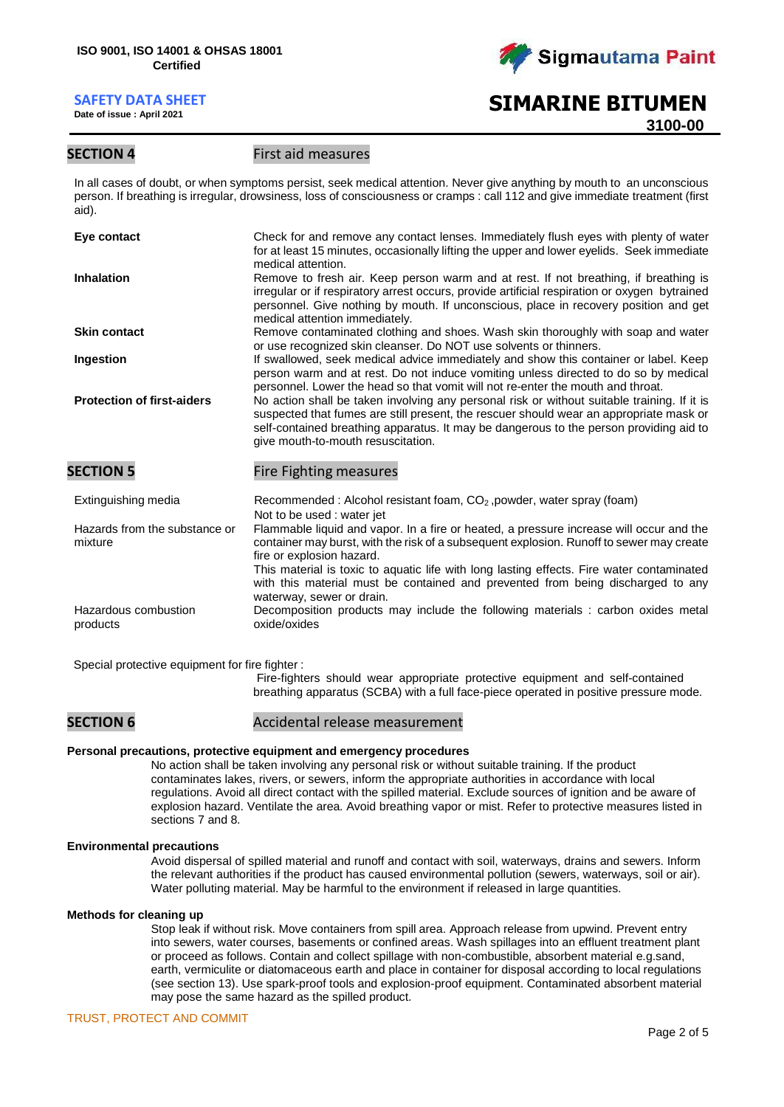**Date of issue : April 2021**



# **SIMARINE BITUMEN 3100-00**

## **SECTION 4** First aid measures

In all cases of doubt, or when symptoms persist, seek medical attention. Never give anything by mouth to an unconscious person. If breathing is irregular, drowsiness, loss of consciousness or cramps : call 112 and give immediate treatment (first aid).

| Eye contact                              | Check for and remove any contact lenses. Immediately flush eyes with plenty of water<br>for at least 15 minutes, occasionally lifting the upper and lower eyelids. Seek immediate<br>medical attention.                                                                                                                                                                                                                       |
|------------------------------------------|-------------------------------------------------------------------------------------------------------------------------------------------------------------------------------------------------------------------------------------------------------------------------------------------------------------------------------------------------------------------------------------------------------------------------------|
| <b>Inhalation</b>                        | Remove to fresh air. Keep person warm and at rest. If not breathing, if breathing is<br>irregular or if respiratory arrest occurs, provide artificial respiration or oxygen bytrained<br>personnel. Give nothing by mouth. If unconscious, place in recovery position and get<br>medical attention immediately.                                                                                                               |
| <b>Skin contact</b>                      | Remove contaminated clothing and shoes. Wash skin thoroughly with soap and water<br>or use recognized skin cleanser. Do NOT use solvents or thinners.                                                                                                                                                                                                                                                                         |
| Ingestion                                | If swallowed, seek medical advice immediately and show this container or label. Keep<br>person warm and at rest. Do not induce vomiting unless directed to do so by medical<br>personnel. Lower the head so that vomit will not re-enter the mouth and throat.                                                                                                                                                                |
| <b>Protection of first-aiders</b>        | No action shall be taken involving any personal risk or without suitable training. If it is<br>suspected that fumes are still present, the rescuer should wear an appropriate mask or<br>self-contained breathing apparatus. It may be dangerous to the person providing aid to<br>give mouth-to-mouth resuscitation.                                                                                                         |
| <b>SECTION 5</b>                         | Fire Fighting measures                                                                                                                                                                                                                                                                                                                                                                                                        |
| Extinguishing media                      | Recommended: Alcohol resistant foam, CO <sub>2</sub> , powder, water spray (foam)<br>Not to be used: water jet                                                                                                                                                                                                                                                                                                                |
| Hazards from the substance or<br>mixture | Flammable liquid and vapor. In a fire or heated, a pressure increase will occur and the<br>container may burst, with the risk of a subsequent explosion. Runoff to sewer may create<br>fire or explosion hazard.<br>This material is toxic to aquatic life with long lasting effects. Fire water contaminated<br>with this material must be contained and prevented from being discharged to any<br>waterway, sewer or drain. |
| Hazardous combustion<br>products         | Decomposition products may include the following materials : carbon oxides metal<br>oxide/oxides                                                                                                                                                                                                                                                                                                                              |

Special protective equipment for fire fighter :

Fire-fighters should wear appropriate protective equipment and self-contained breathing apparatus (SCBA) with a full face-piece operated in positive pressure mode.

## **SECTION 6** Accidental release measurement

### **Personal precautions, protective equipment and emergency procedures**

No action shall be taken involving any personal risk or without suitable training. If the product contaminates lakes, rivers, or sewers, inform the appropriate authorities in accordance with local regulations. Avoid all direct contact with the spilled material. Exclude sources of ignition and be aware of explosion hazard. Ventilate the area. Avoid breathing vapor or mist. Refer to protective measures listed in sections 7 and 8.

### **Environmental precautions**

Avoid dispersal of spilled material and runoff and contact with soil, waterways, drains and sewers. Inform the relevant authorities if the product has caused environmental pollution (sewers, waterways, soil or air). Water polluting material. May be harmful to the environment if released in large quantities.

### **Methods for cleaning up**

Stop leak if without risk. Move containers from spill area. Approach release from upwind. Prevent entry into sewers, water courses, basements or confined areas. Wash spillages into an effluent treatment plant or proceed as follows. Contain and collect spillage with non-combustible, absorbent material e.g.sand, earth, vermiculite or diatomaceous earth and place in container for disposal according to local regulations (see section 13). Use spark-proof tools and explosion-proof equipment. Contaminated absorbent material may pose the same hazard as the spilled product.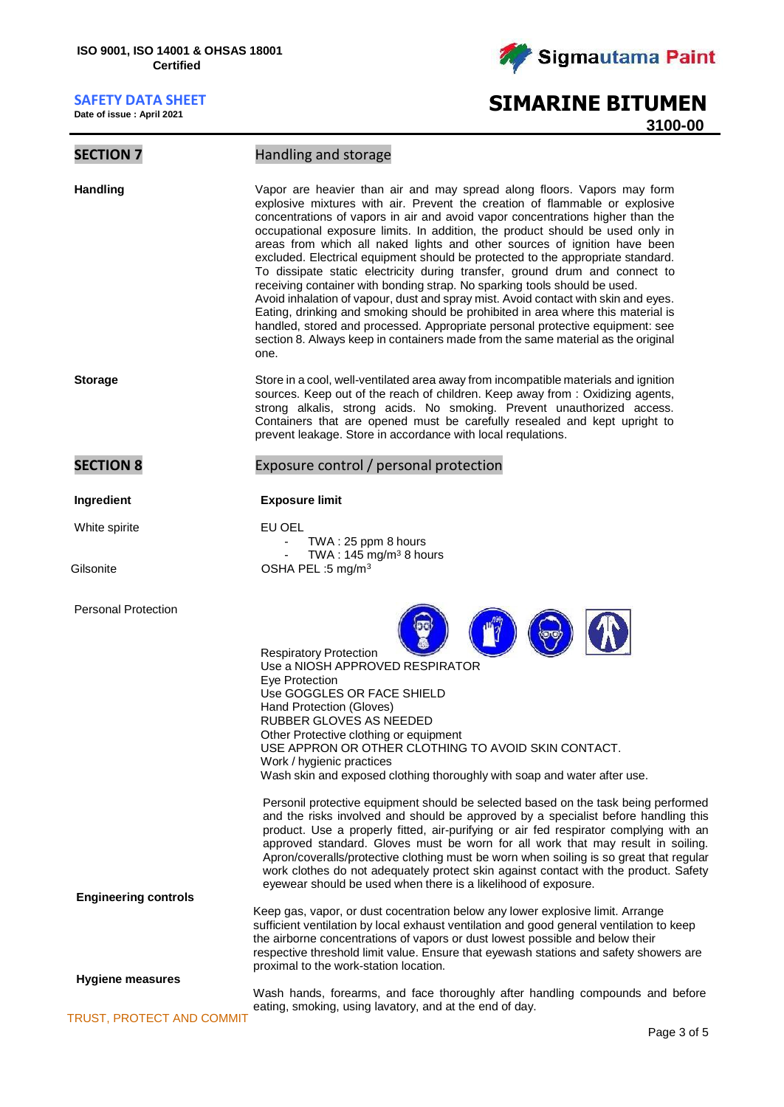**Date of issue : April 2021**



# **SIMARINE BITUMEN**

**3100-00**

## **SECTION 7** Handling and storage

**Handling** Vapor are heavier than air and may spread along floors. Vapors may form explosive mixtures with air. Prevent the creation of flammable or explosive concentrations of vapors in air and avoid vapor concentrations higher than the occupational exposure limits. In addition, the product should be used only in areas from which all naked lights and other sources of ignition have been excluded. Electrical equipment should be protected to the appropriate standard. To dissipate static electricity during transfer, ground drum and connect to receiving container with bonding strap. No sparking tools should be used. Avoid inhalation of vapour, dust and spray mist. Avoid contact with skin and eyes. Eating, drinking and smoking should be prohibited in area where this material is handled, stored and processed. Appropriate personal protective equipment: see section 8. Always keep in containers made from the same material as the original one.

**Storage** Store in a cool, well-ventilated area away from incompatible materials and ignition sources. Keep out of the reach of children. Keep away from : Oxidizing agents, strong alkalis, strong acids. No smoking. Prevent unauthorized access. Containers that are opened must be carefully resealed and kept upright to prevent leakage. Store in accordance with local requlations.

## **SECTION 8** Exposure control / personal protection

### **Ingredient Exposure limit**

White spirite **EU OEL** TWA : 25 ppm 8 hours TWA :  $145 \text{ mg/m}^3$  8 hours Gilsonite **Contract COSHA PEL :5 mg/m<sup>3</sup>** 

proximal to the work-station location.



Respiratory Protection Use a NIOSH APPROVED RESPIRATOR Eye Protection Use GOGGLES OR FACE SHIELD Hand Protection (Gloves) RUBBER GLOVES AS NEEDED Other Protective clothing or equipment USE APPRON OR OTHER CLOTHING TO AVOID SKIN CONTACT. Work / hygienic practices Wash skin and exposed clothing thoroughly with soap and water after use.

Personil protective equipment should be selected based on the task being performed and the risks involved and should be approved by a specialist before handling this product. Use a properly fitted, air-purifying or air fed respirator complying with an approved standard. Gloves must be worn for all work that may result in soiling. Apron/coveralls/protective clothing must be worn when soiling is so great that regular work clothes do not adequately protect skin against contact with the product. Safety eyewear should be used when there is a likelihood of exposure.

Keep gas, vapor, or dust cocentration below any lower explosive limit. Arrange sufficient ventilation by local exhaust ventilation and good general ventilation to keep the airborne concentrations of vapors or dust lowest possible and below their

**Engineering controls**

Personal Protection

**Hygiene measures**

Wash hands, forearms, and face thoroughly after handling compounds and before eating, smoking, using lavatory, and at the end of day.

respective threshold limit value. Ensure that eyewash stations and safety showers are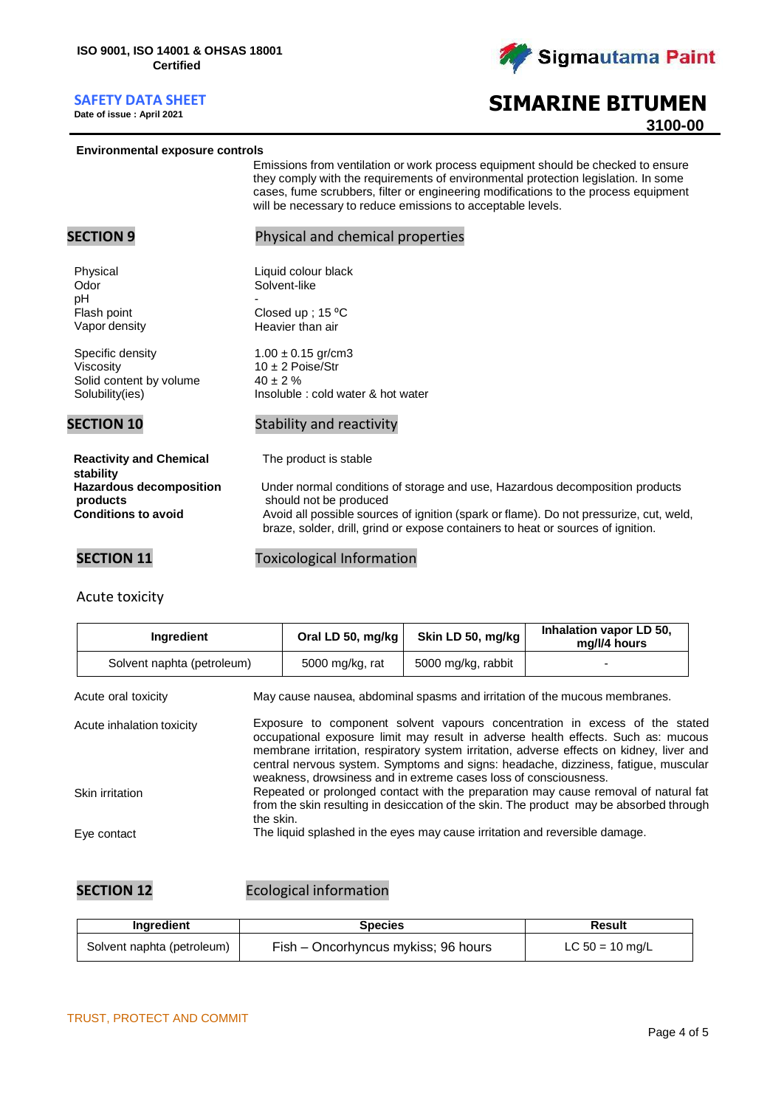**Date of issue : April 2021**



# **SIMARINE BITUMEN 3100-00**

### **Environmental exposure controls**

Emissions from ventilation or work process equipment should be checked to ensure they comply with the requirements of environmental protection legislation. In some cases, fume scrubbers, filter or engineering modifications to the process equipment will be necessary to reduce emissions to acceptable levels.

| <b>SECTION 9</b>                                                                                                        | Physical and chemical properties                                                                                                                                                                                                                                                                              |
|-------------------------------------------------------------------------------------------------------------------------|---------------------------------------------------------------------------------------------------------------------------------------------------------------------------------------------------------------------------------------------------------------------------------------------------------------|
| Physical<br>Odor<br>pH<br>Flash point<br>Vapor density                                                                  | Liquid colour black<br>Solvent-like<br>Closed up ; $15^{\circ}$ C<br>Heavier than air                                                                                                                                                                                                                         |
| Specific density<br>Viscosity<br>Solid content by volume<br>Solubility(ies)                                             | $1.00 \pm 0.15$ gr/cm3<br>$10 \pm 2$ Poise/Str<br>$40 \pm 2 \%$<br>Insoluble : cold water & hot water                                                                                                                                                                                                         |
| <b>SECTION 10</b>                                                                                                       | Stability and reactivity                                                                                                                                                                                                                                                                                      |
| <b>Reactivity and Chemical</b><br>stability<br><b>Hazardous decomposition</b><br>products<br><b>Conditions to avoid</b> | The product is stable<br>Under normal conditions of storage and use, Hazardous decomposition products<br>should not be produced<br>Avoid all possible sources of ignition (spark or flame). Do not pressurize, cut, weld,<br>braze, solder, drill, grind or expose containers to heat or sources of ignition. |
| <b>SECTION 11</b>                                                                                                       | <b>Toxicological Information</b>                                                                                                                                                                                                                                                                              |

# Acute toxicity

| Ingredient                                                                                        |                                                                                                                                                                                                                                                                                                                                                                                                                        | Oral LD 50, mg/kg                                                           | Skin LD 50, mg/kg  | Inhalation vapor LD 50,<br>mg/l/4 hours |  |  |
|---------------------------------------------------------------------------------------------------|------------------------------------------------------------------------------------------------------------------------------------------------------------------------------------------------------------------------------------------------------------------------------------------------------------------------------------------------------------------------------------------------------------------------|-----------------------------------------------------------------------------|--------------------|-----------------------------------------|--|--|
| Solvent naphta (petroleum)                                                                        |                                                                                                                                                                                                                                                                                                                                                                                                                        | 5000 mg/kg, rat                                                             | 5000 mg/kg, rabbit |                                         |  |  |
| May cause nausea, abdominal spasms and irritation of the mucous membranes.<br>Acute oral toxicity |                                                                                                                                                                                                                                                                                                                                                                                                                        |                                                                             |                    |                                         |  |  |
| Acute inhalation toxicity                                                                         | Exposure to component solvent vapours concentration in excess of the stated<br>occupational exposure limit may result in adverse health effects. Such as: mucous<br>membrane irritation, respiratory system irritation, adverse effects on kidney, liver and<br>central nervous system. Symptoms and signs: headache, dizziness, fatique, muscular<br>weakness, drowsiness and in extreme cases loss of consciousness. |                                                                             |                    |                                         |  |  |
| Skin irritation                                                                                   | Repeated or prolonged contact with the preparation may cause removal of natural fat<br>from the skin resulting in desiccation of the skin. The product may be absorbed through<br>the skin.                                                                                                                                                                                                                            |                                                                             |                    |                                         |  |  |
| Eye contact                                                                                       |                                                                                                                                                                                                                                                                                                                                                                                                                        | The liquid splashed in the eyes may cause irritation and reversible damage. |                    |                                         |  |  |

**SECTION 12** Ecological information

| Ingredient                 | <b>Species</b>                      | Result            |  |  |
|----------------------------|-------------------------------------|-------------------|--|--|
| Solvent naphta (petroleum) | Fish – Oncorhyncus mykiss; 96 hours | LC $50 = 10$ mg/L |  |  |